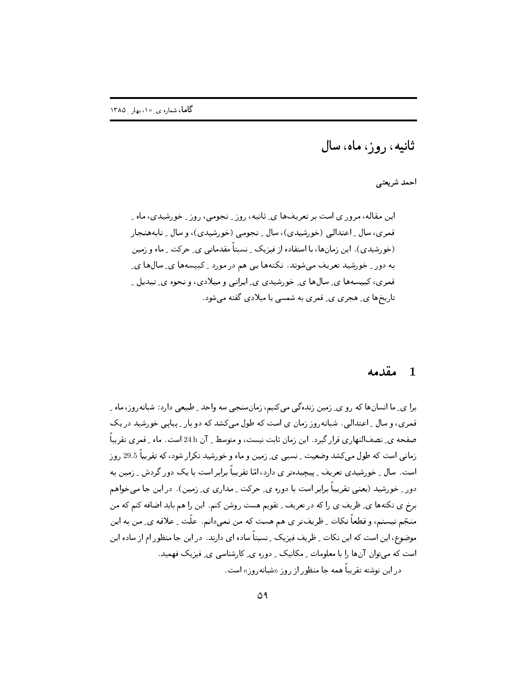ثانیه، ٫ و ز، ماه، سال

أحمد شريعتي

این مقاله، مرور ی است بر تعریفها ی ِ ثانیه، روز ِ نجومی، روز ِ خورشیدی، ماه ِ قمري، سال \_ اعتدالي (خورشيدي)، سال \_ نجومي (خورشيدي)، و سال \_ نابههنجار (خورشیدی)، این زمانها، با استفاده از فیزیک ِ نسبتاً مقدماتی ی ِ حرکت ِ ماه و زمین به دور ِ خورشید تعریف میشوند. نکتهها یی هم در مورد ِ کبیسهها ی ِ سالها ی قمري، کېيسهها ي ِ سالها ي خوړشيدي ي ِ ايرانې و ميلادي، و نحوه ي ِ تېديل ِ تاریخها ی ِ هجری ی ِ قمری به شمسی یا میلادی گفته میشود.

### مقدمه  $1$

برا ي ٍ ما انسانِها که رو ي ٍ زمين زندهگي مي کنيم، زمانِسنجي سه واحد ِ طبيعي دارد: شبانهروز، ماه ِ قمري، و سال ِ اعتدالي. شبانه٫ و ز زمان ي است كه طول مي كشد كه دو بار ِ پياپي خورشيد در يک صفحه ی ِ نصفالنها, ی قرار گیرد. این زمان ثابت نیست، و متوسط <sub>ب</sub> آن 24 h است. ماه ب<sub>ه</sub> قمری تقریباً زمانی است که طول میکشد وضعیت ِ نسبی ی ِ زمین و ماه و خورشید تکرار شود، که تقریباً 29.5 روز است. سال ِ خورشیدی تعریف ِ پیچیدهتر ی دارد، امّا تقریباً برابر است با یک دور گردش ِ زمین به دور ِ خورشید (یعنی تقریباً برابر است با دوره ی ِ حرکت ِ مداری ی ِ زمین). در این جا میخواهم برخ ی نکتهها ی ِ ظریف ی را که در تعریف ِ تقویم هست روشن کنم. این را هم باید اضافه کنم که من منجّم نیستم، و قطعاً نکات ِ ظریفتر ی هم هست که من نمی دانم. علّت ِ علاقه ی ِ من به این موضوع، این است که این نکات ِ ظریف فیزیک ِ نسبتاً ساده ای دارند. در این جا منظور ام از ساده این است که می توان آنها را با معلومات ِ مکانیک ِ دوره ی ِ کارشناسی ی ِ فیزیک فهمید. در این نوشته تقریباً همه جا منظور از روز «شبانهروز» است.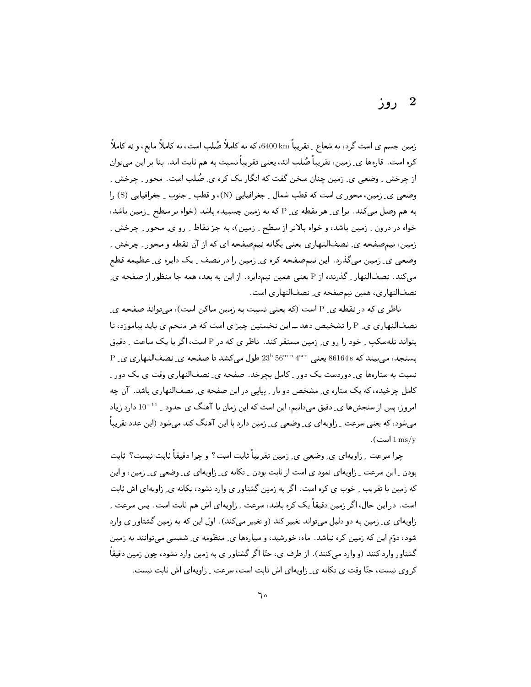## 2 روز

زمین جسم ی است گرد، به شعاع <sub>-</sub> تقریباً 6400،bx، که نه کاملاً صُلب است، نه کاملاً مایع، و نه کاملاً کره است. قارهها ی ِ زمین، تقریباً صُلب اند، یعنی تقریباً نسبت به هم ثابت اند. بنا بر این می توان از چرخش ِ وضعی ی ِ زمین چنان سخن گفت که انگار یک کره ی ِ صُلبِ است. محور ِ چرخش ِ وضعي ي ِ زمين، محور ي است كه قطب شمال ِ جغرافيايي (N)، و قطب ِ جنوب ِ جغرافيايي (S) را به هم وصل می کند. برا ی ِ هر نقطه ی ِ P که به زمین چسبیده باشد (خواه بر سطح ِ زمین باشد، خواه در درون پرزمین باشد، و خواه بالاتر از سطح پرزمین)، به جز نقاط پررو ی ٍ محور په چرخش په زمین، نیمصفحه ی ِ نصفالنهاری یعنی یگانه نیمصفحه ای که از آن نقطه و محور ِ چرخش ِ وضعی ی ِ زمین میگذرد. این نیمصفحه کره ی ِ زمین را در نصف ِ یک دایره ی ِ عظیمه قطع میکند. نصفالنهار <sub>-</sub> گذرنده از P یعنی همین نیمدایره. از این به بعد، همه جا منظور از صفحه ی ِ نصفالنهاری، همین نیمصفحه ی ِ نصفالنهاری است.

ناظر ی که در نقطه ی ِ P است (که یعنی نسبت به زمین ساکن است)، می تواند صفحه ی ِ نصفالنهاري ي ِ P را تشخيص دهد ــ اين نخستين چيز ي است كه هر منجم ي بايد بياموزد، تا بتواند تله سکب کود را رو ی زمین مستقر کند. ناظر ی که در P است، اگر با یک ساعت کرفیق  $P$  بِسنجد، می بیند که 86164s یعنی  $4^{\rm se}$ 56  $23^{\rm h}$ 56 طول می کشد تا صفحه ی ِ نصفالنهاری ی ِ P نسبت به ستارهها ی ِ دوردست یک دور ِ کامل بچرخد. صفحه ی ِ نصفالنهاری وقت ی یک دور ِ کامل چرخیده، که یک ستاره ی ِ مشخص دو بار ِ پیایی در این صفحه ی ِ نصفالنهاری باشد. آن چه امروز، پس از سنجشها ي ِ دقيق ميدانيم، اين است كه اين زمان با آهنگ ي حدود <sub>-</sub> <sup>11</sup>-10 دارد زياد میشود، که یعنی سرعت ِ زاویهای ی ِ وضعی ی ِ زمین دارد با این آهنگ کند میشود (این عدد تقریباً است).  $1 \,\mathrm{ms/v}$ 

چرا سرعت \_ زاويهاي ي\_ وضعي ي\_ زمين تقريباً ثابت است؟ و چرا دقيقاً ثابت نيست؟ ثابت بودن ِ این سرعت ِ زاویهای نمود ی است از ثابت بودن ِ تکانه ی ِ زاویهای ی ِ وضعی ی ِ زمین، و این که زمین با تقریب ِ خوب ی کره است. اگر به زمین گشتاور ی وارد نشود، تکانه ی ِ زاویهای اش ثابت است. در این حال، اگر زمین دقیقاً یک کره باشد، سرعت ِ زاویهای اش هم ثابت است. پس سرعت ِ زاویهای ی ِ زمین به دو دلیل می تواند تغییر کند (و تغییر می)کند). اول این که به زمین گشتاور ی وارد شود، دوّم این که زمین کره نباشد. ماه، خورشید، و سیارهها ی ِ منظومه ی ِ شمسی می توانند به زمین گشتاور وارد کنند (و وارد میکنند). از طرف ی، حتّا اگر گشتاور ی به زمین وارد نشود، چون زمین دقیقاً کروی نیست، حتّا وقت ی تکانه ی ِ زاویهای اش ثابت است، سرعت ِ زاویهای اش ثابت نیست.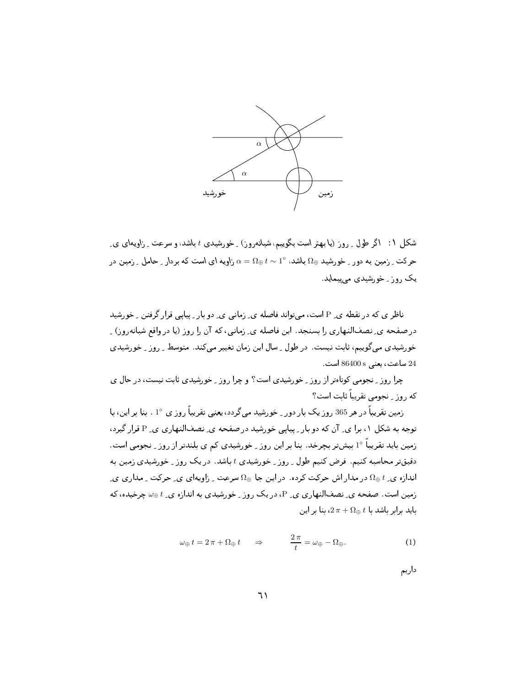

شکل ۱: اگر طول <sub>-</sub> روز (یا بهتر است بگوییم، شبانهروز) <sub>-</sub> خورشیدی t باشد، و سرعت <sub>-</sub> زاویهای ی ِ حرکت ِ زمین به دور ِ خورشید  $\Omega_\oplus$  باشد،  $\alpha=0_\oplus$  زمین در  $\alpha=0$  باشد او یه ای است که بردار ِ حامل ِ زمین در یک روز ِ خورشیدی می پیماید.

ناظر ی که در نقطه ی ِ P است، می تواند فاصله ی ِ زمانی ی ِ دو بار ِ پیایی قرار گرفتن ِ خورشید در صفحه ی ِ نصفالنهاری را بسنجد. این فاصله ی ِ زمانی، که آن را روز (یا در واقع شبانهروز) ِ خورشیدی می گوییم، ثابت نیست. در طول ِ سال این زمان تغییر می کند. متوسط ِ روز ِ خورشیدی 24 ساعت، يعني 86400s است.

چرا روز ِ نجومی کوتاهتر از روز ِ خورشیدی است؟ و چرا روز ِ خورشیدی ثابت نیست، در حال ی که روز \_ نجومی تقریباً ثابت است؟

زمین تقریباً در هر 365 روز یک بار دور <sub>-</sub> خورشید میگردد، یعنی تقریباً روز ی °1 . بنا بر این، با توجه به شکل ۱، برا ی ِ آن که دو بار ِ پیایی خورشید در صفحه ی ِ نصفالنهاری ی ِ P قرار گیرد، زمین باید تقریباً °1 بیشتر بچرخد. بنا بر این روز <sub>-</sub> خورشیدی کم ی بلندتر از روز <sub>-</sub> نجومی است. دقیقتر محاسبه کنیم. فرض کنیم طول ِ روز ِ خورشیدی t باشد. در یک روز ِ خورشیدی زمین به اندازه ی ِ  $t$   $\oplus$  در مدار اش حرکت کرده. در این جا  $\Omega_\oplus$  سرعت ِ زاویهای ی ِ حرکت ِ مداری ی زمین است. صفحه ی ِ نصفالنهاری ی ِ P، در یک روز ِ خورشیدی به اندازه ی ِ  $\omega_\oplus t$  چرخیده، که  $\ln 2\pi + \Omega_{\oplus} t$ باید برابر باشد با  $t$  به  $2\pi + \Omega_{\oplus} t$ 

$$
\omega_{\oplus} t = 2\pi + \Omega_{\oplus} t \qquad \Rightarrow \qquad \frac{2\pi}{t} = \omega_{\oplus} - \Omega_{\oplus}. \tag{1}
$$

داریم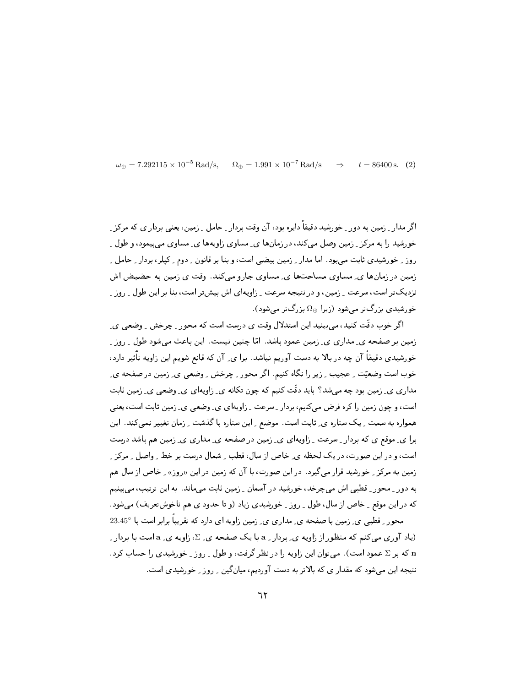$\omega_{\rm D} = 7.292115 \times 10^{-5}$  Rad/s.  $\Omega_{\oplus} = 1.991 \times 10^{-7}$  Rad/s  $t = 86400$  s. (2)  $\Rightarrow$ 

اگر مدار رزمین به دور رخورشید دقیقاً دایره بود، آن وقت بردار رحامل رزمین، یعنی بردار ی که مرکز ر خورشید را به مرکز پرزمین وصل می کند، در زمانها ی ِ مساوی زاویهها ی ِ مساوی می پیمود، و طول ِ روز - خورشیدی ثابت می بود. اما مدار - زمین بیضی است، و بنا بر قانون - دوم - کیلر، بردار - حامل -زمین در زمانها ی ِ مساوی مساحتها ی ِ مساوی جارو میکند. وقت ی زمین به حضیض اش نزدیکتر است، سرعت ِ زمین، و در نتیجه سرعت ِ زاویهای اش بیشتر است، بنا بر این طول ِ روز ِ خو, شیدی بزرگتر مے شود (زیرا  $\Omega_\oplus$  بزرگتر مے شود).

اگر خوب دقّت کنید، می بینید این استدلال وقت ی درست است که محور <sub>-</sub> چرخش <sub>-</sub> وضعی ی ِ زمین بر صفحه ی ِ مداری ی ِ زمین عمود باشد. امّا چنین نیست. این باعث می شود طول ِ روز ِ ِ خو,شیدی دقیقاً آن چه در بالا به دست آوریم نباشد. برا ی ِ آن که قانع شویم این زاویه تأثیر دارد، خوب است وضعیّت ِ عجیب ِ زیرِ را نگاه کنیم. اگر محور ِ چرخش ِ وضعی ی ِ زمین در صفحه ی ِ مداری ی ِ زمین بود چه میشد؟ باید دقّت کنیم که چون تکانه ی ِ زاویهای ی ِ وضعی ی ِ زمین ثابت است، و چون زمین را کره فرض میکنیم، بردار ِ سرعت ِ زاویهای ی ِ وضعی ی ِ زمین ثابت است، یعنی همواره به سمت ِ یک ستاره ی ِ ثابت است. موضع ِ این ستاره با گذشت ِ زمان تغییر نمیکند. این برا ی ِ موقع ی که بردار ِ سرعت ِ زاویهای ی ِ زمین در صفحه ی ِ مداری ی ِ زمین هم باشد درست است، و در این صورت، در یک لحظه ی ِ خاص از سال، قطب ِ شمال درست بر خط ِ واصل ِ مرکز ِ ِ زمین به مرکز <sub>-</sub> خورشید قرار می¢گیرد. در این صورت، با آن که زمین در این «روز» <sub>-</sub> خاص از سال هم به دور \_ محور \_ قطبي اش مي چرخد، خورشيد در آسمان \_ زمين ثابت مي ماند. به اين ترتيب، مي بينيم که در این موقع ِ خاص از سال، طول ِ ِ روزِ ِ خورشیدی زیاد (و تا حدود ی هم ناخوشتعریف) میشود.

محور ِ قطبی ی ِ زمین با صفحه ی ِ مداری ی ِ زمین زاویه ای دارد که تقریباً برابر است با 23.45° (یاد آوری می کنم که منظور از زاویه ی ِ بردار ِ a با یک صفحه ی ِ Z، زاویه ی ِ a است با بردار ِ که بر  $\Sigma$  عمود است). می توان این زاویه را در نظر گرفت، و طول ۱٫ وز ۱ خورشیدی را حساب کرد. نتیجه این میشود که مقدار ی که بالاتر به دست آوردیم، میانگین ِ روز ِ خورشیدی است.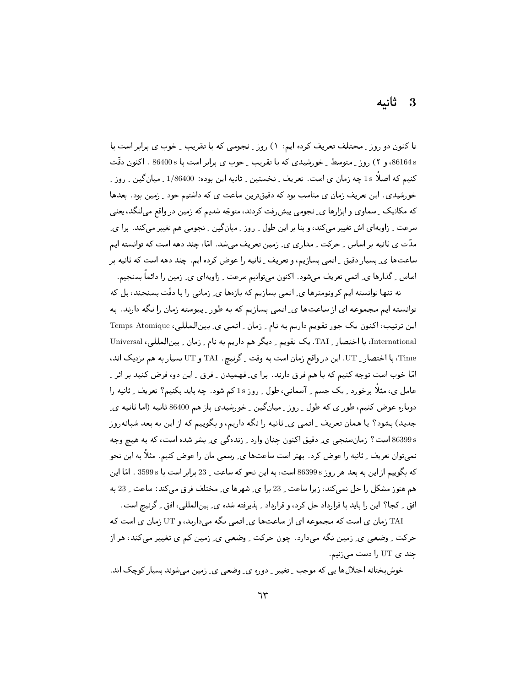### 3 ثانيە

تا کنون دو روز ِ مختلف تعریف کرده ایم: ۱) روز ِ نجومی که با تقریب ِ خوب ی برابر است با 86164s، و ۲) روز ـ متوسط ـ خورشیدی که با تقریب ـ خوب ی برابر است با 86400s . اکنون دقّت کنیم که اصلاً 1s چه زمان ی است. تعریف ِ نخستین ِ ثانیه این بوده: 1/86400 ِ میان گین ِ روز ِ ِ خورشیدی. این تعریف زمان ی مناسب بود که دقیقترین ساعت ی که داشتیم خود \_ زمین بود. بعدها که مکانیک ِ سماوی و ابزارها ی ِ نجومی پیش ِفت کردند، متوجّه شدیم که زمین در واقع می لنگد، یعنی سرعت ۔ زاویهای اش تغییر می کند، و بنا ہر این طول ۔ روز ۔ میان گین ۔ نجومی هم تغییر می کند. برا ی۔ مدّت ی ثانیه بر اساس ِ حرکت ِ مداری ی ِ زمین تعریف میشد. امّا، چند دهه است که توانسته ایم ساعتها ی ِ بسیار دقیق ِ اتمی بسازیم، و تعریف ِ ثانیه را عوض کرده ایم. چند دهه است که ثانیه بر اساس ِ گذارها ی ِ اتمی تعریف میشود. اکنون میتوانیم سرعت ِ زاویهای ی ِ زمین را دائماً بسنجیم.

نه تنها توانسته ایم کرونومترها ی ِ اتمی بسازیم که بازهها ی ِ زمانی را با دقّت بسنجند، بل که توانسته ایم مجموعه ای از ساعتها ی ِ اتمی بسازیم که به طور ِ پیوسته زمان را نگه دارند. به این ترتیب، اکنون یک جور تقویم داریم به نام ِ زمان ِ اتمی ی ِ بینالمللی، Temps Atomique International، با اختصار ِ TAI. یک تقویم ِ دیگر هم داریم به نام ِ زمان ِ بینالمللی، Universal Time، با اختصار \_ UT. اين در واقع زمان است به وقت \_ گرنيچ . TAI و UT بسيار به هم نزديک اند، امّا خوب است توجه کنیم که با هم فرق دارند. برا ی ِ فهمیدن ِ فرق ِ این دو، فرض کنید بر اثر ِ عامل ی، مثلاً برخورد ِ یک جسم ِ آسمانی، طول ِ روز 1s کم شود. چه باید بکنیم؟ تعریف ِ ثانیه را دوباره عوض کنیم، طور ی که طول ِ روز ِ میانگین ِ خورشیدی باز هم 86400 ثانیه (اما ثانیه یِ جدید) بشود؟ یا همان تعریف ِ اتمی ی ِ ثانیه را نگه داریم، و بگوییم که از این به بعد شبانهروز 86399s است؟ زمان سنجيي ي ِ دقيق اکنون چنان وارد ِ زندهگي ي ِ بشر شده است، که به هيچ وجه نمیتوان تعریف ِ ثانیه را عوض کرد . بهتر است ساعتها ی ِ رسمی مان را عوض کنیم . مثلاً به این نحو كه بگوييم از اين به بعد هر روز 86399s است، به اين نحو كه ساعت <sub>-</sub> 23 برابر است با 3599s . امّا اين هم هنوز مشکل را حل نمیکند، زیرا ساعت ِ 23 برا ی ِ شهرها ی ِ مختلف فرق میکند: ساعت ِ 23 به افق \_ كجا؟ اين را بايد با قرارداد حل كرد، و قرارداد \_ پذيرفته شده ي\_ بين|لمللي، افق \_ گرنيچ است.

TAI زمان ی است که مجموعه ای از ساعتها ی ِ اتمی نگه میدارند، و UT زمان ی است که حرکت ِ وضعی ی ِ زمین نگه میدارد. چون حرکت ِ وضعی ی ِ زمین کم ی تغییر میکند، هر از چند ی UT را دست میزنیم.

خوشبختانه اختلالها یی که موجب ِ تغییر ِ دوره ی ِ وضعی ی ِ زمین میشوند بسیار کوچک اند.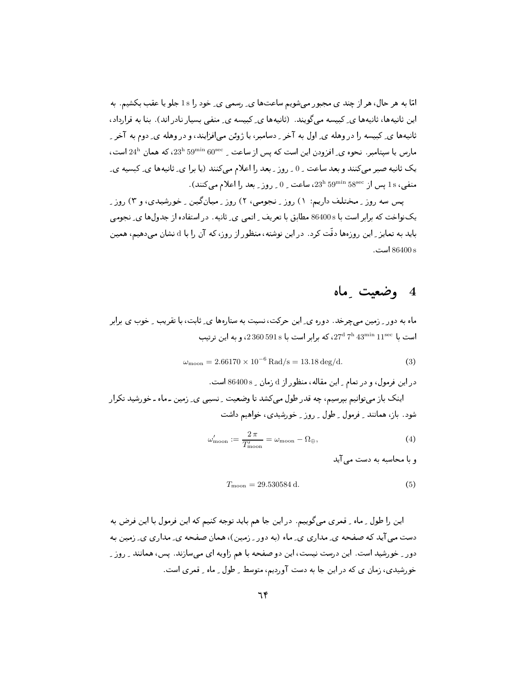امّا به هر حال، هر از چند ی مجبور می شویم ساعتها ی ِ رسمی ی ِ خود را 1s جلو یا عقب بکشیم. به این ثانیهها، ثانیهها ی ِ کبیسه می گویند. (ثانیهها ی ِ کبیسه ی ِ منفی بسیار نادر اند). بنا به قرارداد، ثانیهها ی ِ کبیسه را در وهله ی ِ اول به آخر ِ دسامبر، یا ژوئن می افزایند، و در وهله ی ِ دوم به آخر ِ  $\rm 24^h$  مارس یا سپتامبر. نحوه ی ِ افزودن این است که یس از ساعت  $\rm 59^{min}$   $\rm 60^{sec}$ ، که همان  $\rm 24^h$  است، یک ثانیه صبر می کنند و بعد ساعت ِ 0 ِ روز ِ بعد را اعلام می کنند (یا برا ی ِ ثانیهها ی ِ کبسیه ی ِ ، منفي، 18 يس إن  $1$ 58°59' $23^{\rm h}$  39 $^{2^{\rm h}}$ ، ساعت  $0$  , وز يعد را إعلام مي كنند).

یس سه روز په مختلف داریم: ۱) روز په نجومی، ۲) روز پهپانگین په خورشیدی، و ۳) روز په یکنواخت که برابر است با 86400s مطابق با تعریف <sub>-</sub> اتمی ی ِ ثانیه . در استفاده از جدولها ی ِ نجومی باید به تمایز <sub>م</sub>این روزهها دقّت کرد. در این نوشته، منظور از روز، که آن را با d نشان می دهیم، همین است. 86400 s

## 4 وضعیت ماه

ماه به دور ِ زمین میچرخد. دوره ی ِ این حرکت، نسبت به ستارهها ی ِ ثابت، با تقریب ِ ِ خوب ی برابر است با ع $11^{\rm sec}$  27<sup>d</sup> 7<sup>h</sup> 23<sup>min</sup> 11<sup>sec</sup> ، برابر است با 360 591s ، و به این ترتیب

$$
\omega_{\text{moon}} = 2.66170 \times 10^{-6} \,\text{Rad/s} = 13.18 \,\text{deg/d}.\tag{3}
$$

در این فرمول، و در تمام ـِ این مقاله، منظور از d زمان ـ 86400 s است. اینک باز می توانیم بیرسیم، چه قدر طول می کشد تا وضعیت ِ نسببی ی ِ زمین ـ ماه ـ خورشید تکرار شود. باز، همانند \_ فرمول \_ طول \_ روز \_ خورشیدی، خواهیم داشت

$$
\omega'_{\text{moon}} := \frac{2\,\pi}{T'_{\text{moon}}} = \omega_{\text{moon}} - \Omega_{\oplus},\tag{4}
$$

و یا محاسبه به دست می آید

$$
T_{\rm moon} = 29.530584 \,\mathrm{d}.\tag{5}
$$

این را طول ِ ماه ِ قمری میگوییم. در این جا هم باید توجه کنیم که این فرمول با این فرض به دست می آید که صفحه ی ِ مداری ی ِ ماه (به دور ِ زمین)، همان صفحه ی ِ مداری ی ِ زمین به دور \_ خورشید است. این درست نیست، این دو صفحه با هم زاویه ای میسازند. یس، همانند \_ روز \_ خورشیدی، زمان ی که در این جا به دست آوردیم، متوسط ِ طول ِ ماه ِ قمری است.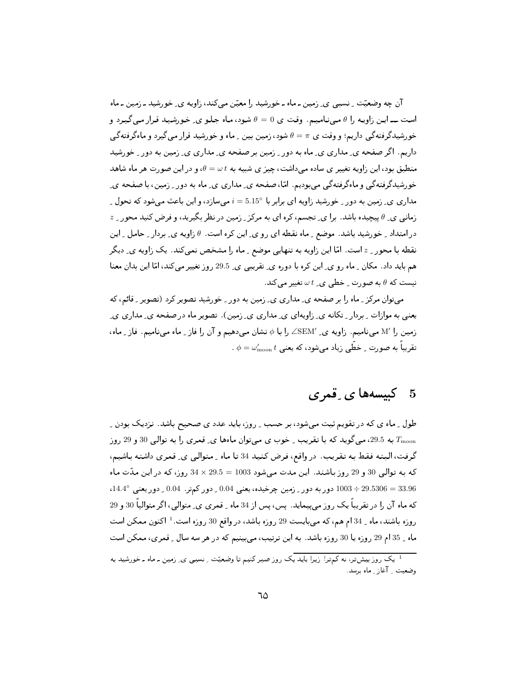آن چه وضعیّت ِ نسببی ی ِ زمین ـ ماه ـ خورشید را معیّن می کند، زاویه ی ِ خورشید ـ زمین ـ ماه است ـــ ايـن زاويـه را  $\theta$  مـىنـاميـم. وقـت ي  $\theta=0$  شـود، مـاه جـلـو ي ِ خـورشيـد قـرار مـىگيـرد و خورشیدگرفتهگی داریم؛ و وقت ی  $\pi=\theta=0$  شود، زمین بین ِ ماه و خورشید قرار میگیرد و ماهگرفتهگی داریم. اگر صفحه ی ِ مداری ی ِ ماه به دور ِ زمین بر صفحه ی ِ مداری ی ِ زمین به دور ِ خورشید منطبق بود، این زاویه تغییر ی ساده می داشت، چیز ی شبیه به  $\omega t$  و در این صورت هر ماه شاهد خورشیدگرفتهگی و ماهگرفتهگی می بودیم. امّا، صفحه ی ِ مداری ی ِ ماه به دور ِ زمین، با صفحه ی ِ مداری ی ِ زمین به دور ِ خورشید زاویه ای برابر با °5.15 = i می سازد، و این باعث می شود که تحول ِ  $z$  زمانبی ی ِ  $\theta$  پیچیده باشد. برا ی ِ تجسم، کره ای به مرکز ِ زمین در نظر بگیرید، و فرض کنید محور ِ  $z$ در امتداد \_ خورشيد باشد. موضع \_ ماه نقطه اي رو ي\_ اين كره است.  $\theta$  زاويه ي\_ بردار \_ حامل \_ اين نقطه با محور <sub>ـ</sub> 2 است. امّا این زاویه به تنهایی موضع <sub>-</sub> ماه را مشخص نمیکند. یک زاویه ی ِ دیگر هم باید داد. مکان ِ ماه رو ی ِ این کره با دوره ی ِ تقریبی ی ِ 29.5 روز تغییر میکند، امّا این بدان معنا نیست که  $\theta$  به صورت ِ خطی ی ِ  $\omega$  تغییر می کند.

می توان مرکز \_ ماه را بر صفحه ی\_ مداری ی\_ زمین به دور \_ خورشید تصویر کرد (تصویر \_ قائم، که یعنبی به موازات ِ بردار ِ تکانه ی ِ زاویهای ی ِ مداری ی ِ زمین). تصویر ماه در صفحه ی ِ مداری ی ِ زمین را M′ مینامیم. زاویه ی ِ SEM′ را با ¢ نشان میدهیم و آن را فاز ِ ماه مینامیم. فاز ِ ماه، . تقریباً به صورت ِ خطّی زیاد می شود، که یعنی  $\omega_{\rm moon}$  ،  $\phi = \omega'_{\rm moon}$ 

## 5 - كېيسەھا ي قمري

طول ِ ماه ی که در تقویم ثبت میشود، بر حسب ِ روز، باید عدد ی صحیح باشد. نزدیک بودن ِ به 29.5، میگوید که با تقریب ِ خوب ی میتوان ماهها ی ِ قمری را به توالی 30 و 29 روز  $T_{\rm moon}$ گرفت، البته فقط به تقریب. در واقع، فرض کنید 34 تا ماه ـ متوالبي ی ِ قمری داشته باشیم، كه بـه تـوالـي 30 و 29 روز بـاشنـد. ايـن مـدت مـي شود 1003 = 29.5 × 34 روز، كـه در ايـن مـدّت مـاه 29.5306 = 33.96 ÷ 1003 دور به دور \_ زمين چرخيده، يعني 0.04 \_ دور كمتر. 0.04 \_ دور يعني °14.4، که ماه آن را در تقریباً یک روز می،پیماید. پس، پس از 34 ماه ـ قمری ی ِ متوالی، اگر متوالیاً 30 و 29 روزه باشند، ماه \_ 34 ام هم، كه مىبايست 29 روزه باشد، در واقع 30 روزه است. 1 اكنون ممكن است ماه \_ 35 ام 29 روزه يا 30 روزه باشد. به اين ترتيب، ميبينيم كه در هر سه سال \_ قمرى، ممكن است

<sup>۔&</sup>lt;br><sup>1</sup> یک روزبیشتر، نه کمترا زیرا باید یک روزصبر کنیم تا وضعیّت ِ نسببی ی ِ زمین ـ ماه ـ خورشید به وضعیت ِ آغاز ِ ماه برسد.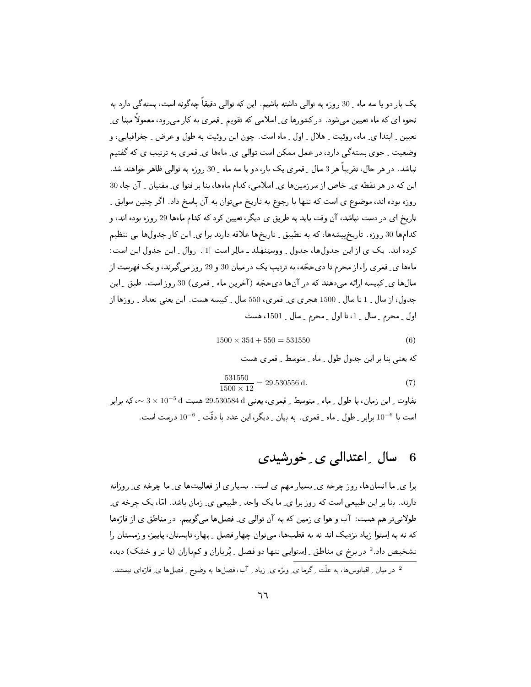یک بار دو یا سه ماه ِ 30 روزه به توالی داشته باشیم. این که توالی دقیقاً چهگونه است، بستهگی دارد به نحوه ای که ماه تعیین می شود. در کشورها ی ِ اسلامی که تقویم ِ قمری به کار می رود، معمولاً مبنا ی ِ تعیین ِ ابتدا ی ِ ماه، روئیت ِ هلال ِ اول ِ ماه است. چون این روئیت به طول و عرض ِ جغرافیایی، و وضعیت ِ جوی بستهگی دارد، در عمل ممکن است توالی ی ِ ماهها ی ِ قمری به ترتیب ی که گفتیم نباشد. در هر حال، تقریباً هر 3 سال \_ قمری یک بار، دو یا سه ماه \_ 30 روزه به توالی ظاهر خواهند شد. این که در هر نقطه ی ِ خاص از سرزمینها ی ِ اسلامی، کدام ماهها، بنا بر فتوا ی ِ مفتیان ِ آن جا، 30 روزه بوده اند، موضوع ی است که تنها با رجوع به تاریخ میتوان به آن پاسخ داد. اگر چنین سوابق ِ تاریخ ای در دست نباشد، آن وقت باید به طریق ی دیگر، تعیین کرد که کدام ماهها 29 روزه بوده اند، و كدامها 30 روزه. تاريخپيشهها، كه به تطبيق ِ تاريخها علاقه دارند برا ي ِ اين كار جدولها يي تنظيم كرده اند. يك ي از اين جدولها، جدول ِ ووستِنفِلد ـ مالِر است [1]. روال ِ اين جدول اين است: ماهها ی ِ قمری را، از محرم تا ذی حجّه، به ترتیب یک در میان 30 و 29 روز می گیرند، و یک فهرست از سالها ی ِکبیسه ارائه می دهند که در آنها ذیحجّه (آخرین ماه ِ قمری) 30 روز است. طبق ِ این جدول، از سال 15 تا سال 1500 هجری ی قمری، 550 سال کبیسه هست. این یعنی تعداد ۱ روزها از اول \_ محرم \_ سال \_ 1، تا اول \_ محرم \_ سال \_ 1501، هست

$$
1500 \times 354 + 550 = 531550
$$
 (6)

که یعنی بنا بر این جدول طول ِ ماه ِ متوسط ِ قمر ی هست

$$
\frac{531550}{1500 \times 12} = 29.530556 \,\mathrm{d}.\tag{7}
$$

تفاوت <sub>-</sub> این زمان، با طول <sub>-</sub> ماه <sub>-</sub> متوسط <sub>-</sub> قمری، یعنی 4 29.530584 هست 4 5× 3 × 3 ×، که برابر است با <sup>6–</sup>10 برابر <sub>-</sub> طول <sub>-</sub> ماه <sub>-</sub> قمری . به بیان <sub>-</sub> دیگر، این عدد با دقّت <sub>-</sub> 6–10 درست است.

#### سال ۔اعتدالی ی ۔خورشیدی - 6

برا ی ِ ما انسانها، روز چرخه ی ِ بسیار مهم ی است. بسیار ی از فعالیتها ی ِ ما چرخه ی ِ روزانه دارند. بنا بر این طبیعی است که روز برا ی ِ ما یک واحد ِ طبیعی ی ِ زمان باشد. امّا، یک چرخه ی ِ طولانیتر هم هست: آب و هوا ی زمین که به آن توالی ی ِ فصلها میگوییم. در مناطق ی از قارّهها که نه به اِستوا زیاد نزدیک اند نه به قطبها، میتوان چهار فصل ِ بهار، تابستان، پاییز، و زمستان را تشخیص داد.<sup>2</sup> در برخ ی مناطق <sub>-</sub> اِستوایی تنها دو فصل <sub>-</sub> پُرباران و کمپاران (یا تر و خشک) دیده ۔<br>2- در میان <sub>-</sub> اقیانوس۱ها، به علّت ِ گرما ی ِ ویژه ی ِ زیاد ِ آب، فصل۱ها به وضوح ِ فصل۱ها ی ِ قارّهای نیستند.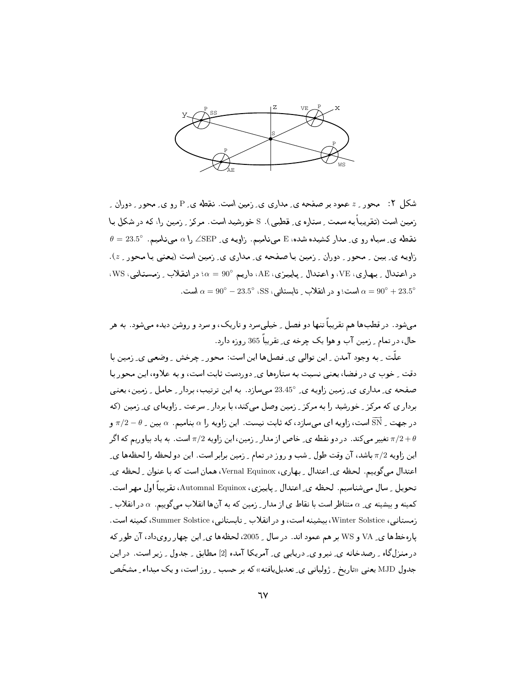

شکل ۲: محور به عمود بر صفحه ی ِمداری ی ِ زمین است. نقطه ی P رو ی ِ محور ِ دوران ِ زمین است (تقریباً به سمت ِ ستاره ی ِ قطبی). S خورشید است. مرکز ِ زمین را، که در شکل با  $\theta = 23.5^\circ$  نقطه ی ِ سیاه رو ی ِ مدار کشیده شده، E مینامیم. زاویه ی ZSEP را a مینامیم. °23.5 زاویه ی ِ بین ِ محور ِ دوران ِ زمین با صفحه ی ِ مداری ی ِ زمین است (یعنی با محور ِ ج). در اعتدال \_ بـهـاري، VE، و اعـتدال \_ پـاييـزي، AE، داريـم °90 = ٪؛ در انـقـلاب \_ زمـستـانـي، WS، است؛ و در انقلاب ِ تابستانی، SS (SS (SS ) است؛ و در انقلاب ِ تابستانی ا $\alpha = 90^{\circ} - 23.5^{\circ}$  است.

می شود . در قطبها هم تقریباً تنها دو فصل ِ خیلی سرد و تاریک، و سرد و روشن دیده می شود . به هر حال، در تمام <sub>-</sub> زمین آب و هوا یک چرخه *ی ِ* تقریباً 365 روزه دارد.

علَّت ِ به وجود آمدن ِ اين توالي ي ِ فصلها اين است: محور ِ چرخش ِ وضعي ي ِ زمين با دقت \_ خوب ی در فضا، یعنی نسبت به ستارهها ی ِ دوردست ثابت است، و به علاوه، این محور با صفحه ی ِ مداری ی ِ زمین زاویه ی ِ 23.45° می سازد. به این ترتیب، بردار <sub>-</sub> حامل <sub>-</sub> زمین، یعنی بردار ی که مرکز ـِ خورشید را به مرکز ـ زمین وصل میکند، با بردار ـ سرعت ـ زاویهای ی ـ زمین (که در جهت ِ  $\overline{\text{SN}}$  است، زاویه ای میسازد، که ثابت نیست. این زاویه را  $\alpha$  بنامیم.  $\alpha$  بین ِ  $\theta-\pi/2-\pi$  و تغییر میکند. در دو نقطه ی ِ خاص از مدار ِ زمین، این زاویه 7/2 است. به یاد بیاوریم که اگر  $\pi/2+\theta$ این زاویه 7/2 باشد، آن وقت طول ِ شب و روز در تمام ِ زمین برابر است. این دو لحظه را لحظهها ي ِ اعتدال میگوییم. لحظه ی ِ اعتدال ِ بِهاری، Vernal Equinox، همان است که با عنوان ِ لحظه ی ِ تحویل ِ سال میشناسیم. لحظه ی ِ اعتدال ِ پاییزی، Automnal Equinox، تقریباً اول مهر است. کمینه و بیشینه ی ِ a متناظر است با نقاط ی از مدار ِ زمین که به آنها انقلاب میگوییم.  $\alpha$  در انقلاب ِ زمستانبي، Winter Solstice، بيشينه است، و در انقلاب ِ تابستانبي، Summer Solstice، كمينه است. یارهخطها ی ـ VA و WS بر هم عمود اند. در سال \_ 2005، لحظهها ی ـ این چهار رویداد، آن طور که در منزلگاه ِ رصدخانه ی ِ نیرو ی ِ دریایی ی ِ آمریکا آمده [2] مطابق ِ جدول ِ زیر است. در این جدول MJD یعنی «تاریخ \_ ژولپانبي ي\_ تعدیل،یافته» که بر حسب \_ روز است، و یک مبداء \_ مشخّص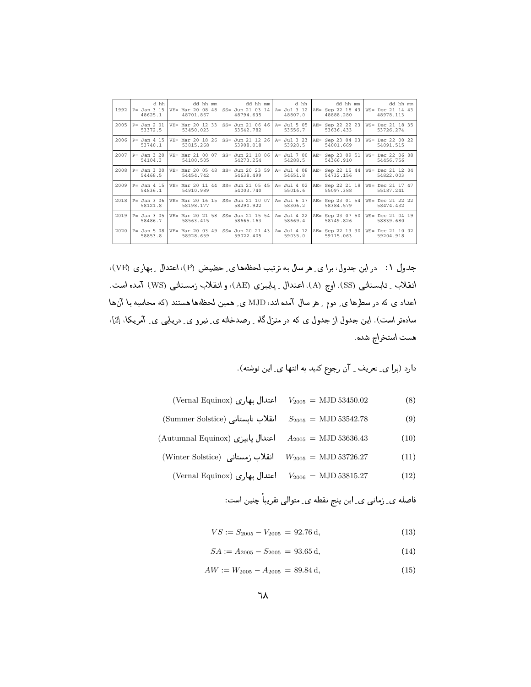| 1992 | d hh<br>$P = Jan 3 15$<br>48625.1 | dd hh mm<br>$VE= Mar 20 08 48$<br>48701.867    | dd hh mml<br>$SS = Jun 21 03 14$<br>48794.635 | d hh  <br>A= Jul 3 12<br>48807.0 | dd hh mm<br>AE= Sep 22 18 43<br>48888.280                    | dd hh mm<br>WS= Dec 21 14 43<br>48978.113 |
|------|-----------------------------------|------------------------------------------------|-----------------------------------------------|----------------------------------|--------------------------------------------------------------|-------------------------------------------|
| 2005 | $P = Jan 2 01$<br>53372.5         | VE= Mar 20 12 33<br>53450.023                  | $SS = Jun 21 06 46$<br>53542.782              | $A = Jul 5 05$<br>53556.7        | AE= Sep 22 22 23<br>53636.433                                | WS= Dec 21 18 35<br>53726.274             |
|      | 53740.1                           | 2006 P= Jan 4 15 VE= Mar 20 18 26<br>53815.268 | $SS = Jun 21 12 26$<br>53908.018              | 53920.5                          | A= Jul 3 23 AE= Sep 23 04 03 WS= Dec 22 00 22<br>54001.669   | 54091.515                                 |
| 2007 | $P = Jan 3 20$<br>54104.3         | $VE=$ Mar 21 00 07<br>54180.505                | $SS = Jun 21 18 06$<br>54273.254              | 54288.5                          | A= Jul 7 00 AE= Sep 23 09 51   WS= Dec 22 06 08<br>54366.910 | 54456.756                                 |
| 2008 | $P = Jan 300$<br>54468.5          | $VE= Mar 20 05 48$<br>54454.742                | $SS = Jun 20 23 59$<br>54638.499              | A= Jul 4 08<br>54651.8           | AE= Sep 22 15 44   WS= Dec 21 12 04<br>54732.156             | 54822.003                                 |
| 2009 | $P = Jan 4 15$<br>54836.1         | $VE= Mar 20 11 44$<br>54910.989                | $SS = Jun 21 05 45$<br>54003.740              | $A = Jul 4 02$<br>55016.6        | AE= Sep 22 21 18   WS= Dec 21 17 47<br>55097.388             | 55187.241                                 |
| 2018 | $P = Jan 3 06$<br>58121.8         | VE= Mar 20 16 15<br>58198.177                  | SS= Jun 21 10 07   A= Jul 6 17<br>58290.922   | 58306.2                          | AE= Sep 23 01 54   WS= Dec 21 22 22<br>58384.579             | 58474.432                                 |
| 2019 | $P = Jan 3 05$<br>58486.7         | VE= Mar 20 21 58<br>58563.415                  | $SS = Jun 21 15 54$<br>58665.163              | 58669.4                          | A= Jul 4 22 AE= Sep 23 07 50 WS= Dec 21 04 19<br>58749.826   | 58839.680                                 |
| 2020 | $P = Jan 508$<br>58853.8          | $VE= Mar 20 03 49$<br>58928.659                | $SS = Jun 20 21 43$<br>59022.405              | 59035.0                          | A= Jul 4 12 AE= Sep 22 13 30 WS= Dec 21 10 02<br>59115.063   | 59204.918                                 |

جدول ۱: در این جدول، برا ی ِ هر سال به ترتیب لحظهها ی ِ حضیض (P)، اعتدال ِ بِهاری (VE) انقلاب ِ تـابـستانـي (SS)، اوج (A)، اعتدال ِ پـاپيـزي (AE)، و انقلاب زمـستـانـي (WS) أمده است. اعداد ی که در سطرها ی ِ دوم ِ هر سال امده اند، MJD ی ِ همین لحظهها هستند (که محاسبه با آنها سادهتر است). این جدول از جدول ی که در منزل گاه ـ رصدخانه ی ِ نیرو ی ِ دریایی ی ِ امریکا، [2]. هست استخراج شده.

B2# F# \* r ,8 Q %G3 %C ' '

- $($  Vernal Equinox) اعتدال بهاری  $V_{2005} = MJD\,53450.02$   $(8)$
- ${\rm (Summer\; Solstice)}$  أنقلاب تابستانی  $S_{2005}={\rm MJD\,}$  53542.78  $\hskip 1.5cm (9)$
- $(Autumnal\ Equino x)$ اعتدال پاییزی  $A_{2005} = \text{MJD } 53636.43$  (10)
	- $(W\!inter$  Solstice) انقلاب زمستانی  $W_{2005} = \text{MJD } 53726.27$  (11)
		- $($  Vernal Equinox) اعتدال بهاری V $_{2006} =$  MJD 53815.27  $\hskip 1.5cm (12)$

 \*M 5A %?3 & O?# \*( # a\$

 $VS := S_{2005} - V_{2005} = 92.76 \,\mathrm{d},$  (13)

$$
SA := A_{2005} - S_{2005} = 93.65 \,\mathrm{d},\tag{14}
$$

$$
AW := W_{2005} - A_{2005} = 89.84 \,\mathrm{d},\tag{15}
$$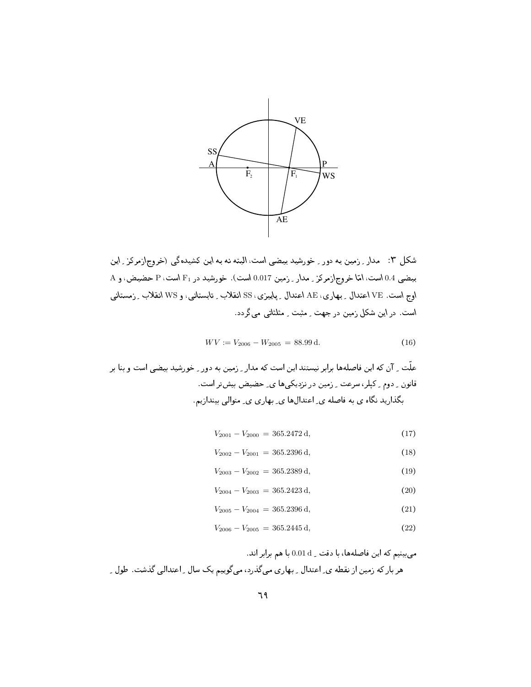

شکل ۳: مدار ِ زمین به دور ِ خورشید بیضیی است، البته نه به این کشیدهگی (خروج\زمرکز ِ این بیضی 0.4 است، امّا خروج ازمرکز <sub>-</sub> مدار <sub>-</sub> زمین 0.017 است). خورشید در F<sub>1</sub> است، P حضیض، و A اوج است. VE اعتدال \_ بـهاري، AE اعتدال \_ پاييزي، SS انقلاب \_ تابستانيي، و WS انقلاب \_ زمستاني است. در این شکل زمین در جهت ِ مثبت ِ مثلثاتی میگردد.

$$
WV := V_{2006} - W_{2005} = 88.99 \,\mathrm{d}.\tag{16}
$$

$$
V_{2001} - V_{2000} = 365.2472 \,\mathrm{d},\tag{17}
$$

$$
V_{2002} - V_{2001} = 365.2396 \,\mathrm{d},\tag{18}
$$

$$
V_{2003} - V_{2002} = 365.2389 \,\mathrm{d},\tag{19}
$$

$$
V_{2004} - V_{2003} = 365.2423 \,\mathrm{d},\tag{20}
$$

$$
V_{2005} - V_{2004} = 365.2396 \,\mathrm{d},\tag{21}
$$

$$
V_{2006} - V_{2005} = 365.2445 \,\mathrm{d},\tag{22}
$$

میبینیم که این فاصلهها، با دقت \_ 0.01 d با هم برابر اند. هر بار که زمین از نقطه ی ِ اعتدال ِ بهاری میگذرد، میگوییم یک سال ِ اعتدالی گذشت. طول ِ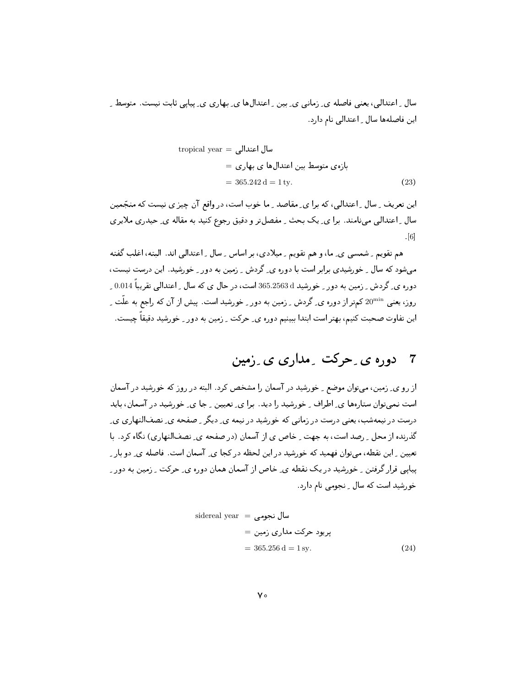سال ِ اعتدالی، یعنی فاصله ی ِ زمانی ی ِ بین ِ اعتدالها ی ِ بهاری ی ِ پیاپی ثابت نیست. متوسط ِ این فاصلهها سال ِ اعتدالی نام دارد.

tropical year = سال اعتدالی  
\n
$$
= 365.242 d = 1 ty.
$$
\n(23)

این تعریف ِ سال ِ اعتدالی، که برا ی ِ مقاصد ِ ما خوب است، در واقع آن چیز ی نیست که منجّمین سال ِ اعتدالی مینامند. برا ی ِ یک بحث ِ مفصلتر و دقیق رجوع کنید به مقاله ی ِ حیدری ملایری  $|6|$ 

هم تقویم ِ شمسی ی ِ ما، و هم تقویم ِ میلادی، بر اساس ِ سال ِ اعتدالی اند. البته، اغلب گفته میشود که سال ِ خورشیدی برابر است با دوره ی ِ گردش ِ زمین به دور ِ خورشید. این درست نیست، دوره ی گردش رزمین به دور <sub>ب</sub> خورشید 365.2563 است، در حال ی که سال راعتدالی تقریباً 0.014 <sub>ب</sub> روز، یعنی 20<sup>min</sup> کمتر از دوره ی ِ گردش ِ زمین به دور ِ خورشید است. پیش از آن که راجع به علّت ِ ِ این تفاوت صحبت کنیم، بهتر است ابتدا ببینیم دوره ی ِ حرکت ِ زمین به دور ِ خورشید دقیقاً چیست.

از رو ی ِ زمین، می توان موضع ِ خورشید در آسمان را مشخص کرد. البته در روز که خورشید در آسمان است نمی توان ستارهها ی ِ اطراف ِ خورشید را دید. برا ی ِ تعیین ِ جا ی ِ خورشید در آسمان، باید درست در نیمهشب، یعنی درست در زمانی که خورشید در نیمه ی ِ دیگر ِ صفحه ی ِ نصفالنهاری ی ِ گذرنده از محل ِ رصد است، به جهت ِ خاص ی از آسمان (در صفحه ی ِ نصفالنهاری) نگاه کرد. با تعیین ِ این نقطه، میتوان فهمید که خورشید در این لحظه در کجا ی ِ آسمان است. فاصله ی ِ دو بار ِ پیایی قرار گرفتن \_ خورشید در یک نقطه ی ِ خاص از آسمان همان دوره ی ِ حرکت \_ زمین به دور \_ خورشید است که سال - نجومی نام دارد.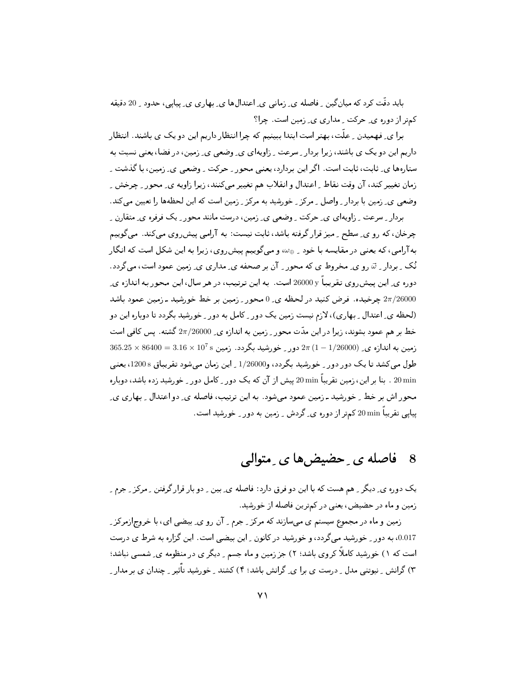باید دقّت کرد که میان گین ِ فاصله ی ِ زمانی ی ِ اعتدالها ی ِ بهاری ی ِ پیایی، حدود ِ 20 دقیقه کمتر از دوره ی ِ حرکت ِ مداری ی ِ زمین است. چرا؟

برا ی ِ فهمیدن ِ علَّت، بهتر است ابتدا ببینیم که چرا انتظار داریم این دو یک ی باشند. انتظار داریم این دو یک ی باشند، زیرا بردار ـ سرعت ـ زاویهای ی\_ وضعی ی\_ زمین، در فضا، یعنی نسبت به ستارہھا ی ِ ثابت، ثابت است. اگر این بردارد، یعنی محور ِ حرکت ِ وضعی ی ِ زمین، با گذشت ِ زمان تغییر کند، آن وقت نقاط ِ اعتدال و انقلاب هم تغییر می کنند، زیرا زاویه ی ِ محور ِ چرخش ِ وضعی ی۔ زمین یا بردار ۔ واصل ۔ مرکز ۔ خورشید به مرکز ۔ زمین است که این لحظهها را تعیین می کند .

بردار \_ سرعت \_ زاویهای ی\_ حرکت \_ وضعی ی\_ زمین، درست مانند محور \_ یک فرفره ی\_ متقارن \_ چرخان، که رو ي ِ سطح ِ ميز قرار گرفته باشد، ثابت نيست: به آرامي پيش ِروي مي کند. مي گوييم به آرامی، که یعنی در مقایسه با خود <sub>ـ ۳۵</sub> و میگوییم پیش ِروی، زیرا به این شکل است که انگار نُک ِ بردار ِ ۞ رو ي ِ مخروط ي که محور ِ آن بر صحفه ي ِ مداري ي ِ زمين عمود است، ميگردد. دوره ي ِ اين پيش روي تقريباً g000 y است. به اين ترتيب، در هر سال، اين محور به اندازه ي ِ جرخیده. فرض کنید در لحظه ی ِ 0 محور ِ زمین بر خط خورشید ـ زمین عمود باشد  $2\pi/26000$ (لحظه ی ِ اعتدال ِ بِهاری)، لازم نیست زمین یک دور ِ کامل به دور ِ خورشید بگردد تا دوباره این دو خط بر هم عمود بشوند، زیرا در این مدّت محور \_ زمین به اندازه ی\_ 2π/26000 گشته . پس کافی است  $365.25 \times 86400 = 3.16 \times 10^7\,\mathrm{s}$  زمین ہور ۔ خورشید بگردد. زمین ہ $7.6 \times 10^7\,\mathrm{s}$  (1 – 1/26000) کرد طول می کشد تا یک دور دور <sub>ب</sub>ے خورشید بگردد، و1/26000 براین زمان می شود تقریباق 1200s، یعنبی 20 min . بنا بر این، زمین تقریباً 20 min ییش از آن که یک دور <sub>-</sub> کامل دور <sub>-</sub> خورشید زده باشد، دوباره محور اش بر خط ِ خورشید ـ زمین عمود میشود. به این ترتیب، فاصله ی ِ دو اعتدال ِ بهاری ی ِ پیاپی تقریباً 20 min کمتر از دوره ی ِ گردش ِ زمین به دور ِ خورشید است.

#### فاصله ی ِ حضیض ها ی ِ متوالی 8

یک دوره ی ِ دیگر ِ هم هست که با این دو فرق دارد: فاصله ی ِ بین ِ دو بار قرار گرفتن ِ مرکز ِ جرم ِ زمین و ماه در حضیض، یعنی در کمترین فاصله از خورشید.

زمین و ماه در مجموع سیستم ی میسازند که مرکز <sub>-</sub> جرم <sub>-</sub> آن رو ی ِ بیضی ای، با خروج|زمرکز <sub>-</sub> 0.017، به دور \_ خورشید می گردد، و خورشید در کانون \_ این بیضی است. این گزاره به شرط ی درست است که ۱) خورشید کاملاً کروی باشد؛ ۲) جز زمین و ماه جسم ِ دیگر ی در منظومه ی ِ شمسی نباشد؛ ۳) گرانش ِ نیوتنی مدل ِ درست ی برا ی ِ گرانش باشد؛ ۴) کشند ِ خورشید تأثیر ِ چندان ی بر مدار ِ ِ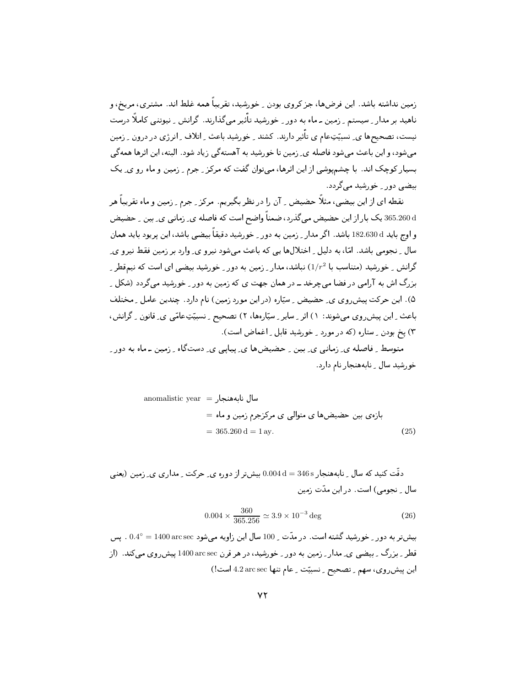زمین نداشته باشد. این فرضها، جز کروی بودن <sub>به</sub> خورشید، تقریباً همه غلط اند. مشتری، مریخ، و ناهید بر مدار ِ سیستم ِ زمین ـ ماه به دور ِ خورشید تأثیر می گذارند. گرانش ِ نیوتنی کاملاً درست نیست، تصحیحها ی ِ نسبیّتِعام ی تأثیر دارند. کشند ِ خورشید باعث ِ اتلاف ِ انرژی در درون ِ زمین می شود، و این باعث می شود فاصله ی ِ زمین تا خورشید به آهستهگی زیاد شود. البته، این اثرها همه گی بسیار کوچک اند. با چشمپوشی از این اثرها، می توان گفت که مرکز ِ جرم ِ زمین و ماه رو ی ِ یک بیضی دور ِ خورشید می گردد.

نقطه ای از این بیضی، مثلاً حضیض ِ ِ آن را در نظر بگیریم. مرکز ِ جرم ِ زمین و ماه تقریباً هر 365.260 یک بار از این حضیض میگذرد، ضمناً واضح است که فاصله ی ِ زمانی ی ِ بین ِ حضیض و اوج باید 182.630 d باشد. اگر مدار <sub>-</sub> زمین به دور <sub>-</sub> خورشید دقیقاً بیضی باشد، این پریود باید همان سال ِ نجومی باشد. امّا، به دلیل ِ اختلالها یی که باعث میشود نیرو ی ِ وارد بر زمین فقط نیرو ی ِ گرانش ِ خورشید (متناسب با  $1/r^2$ ) نباشد، مدار ِ ِ زمین به دور ِ خورشید بیضی ای است که نیمقطر ِ ِ بزرگ اش به آرامی در فضا می چرخد ــ در همان جهت ی که زمین به دور \_ خورشید می گردد (شکل \_ ۵). این حرکت پیش روی ی ِ حضیض ِ سیّاره (در این مورد زمین) نام دارد. چندین عامل ِ مختلف باعث ِ این پیش روی می شوند: ۱) اثر ِ سایر ِ سپّارهها، ۲) تصحیح ِ نِسبیّتِعامّی ی ِ قانون ِ گرانش، ۳) پخ بودن \_ ستاره (که در مورد \_ خورشید قابل \_ اغماض است).

متوسط ِ فاصله ی ِ زمانی ی ِ بین ِ حضیضها ی ِ پیاپی ی ِ دستگاه ِ زمین ۔ ماه به دور ِ خو رشید سال \_ نابههنجار نام دارد.

$$
0.004 \times \frac{360}{365.256} \simeq 3.9 \times 10^{-3} \text{ deg}
$$
 (26)

بیشتر به دور <sub>-</sub> خورشید گشته است. در مدّت <sub>-</sub> 100 سال این زاویه میشود arcsec 1400 arcsec . پس قطر <sub>-</sub> بزرگ <sub>-</sub> بیضی ی ِ مدار <sub>-</sub> زمین به دور <sub>-</sub> خورشید، در هر قرن arcsec 1400 پیش روی میکند. (از این پیش روی، سهم \_ تصحیح \_ نسبیّت \_ عام تنها 4.2 arc sec لست!)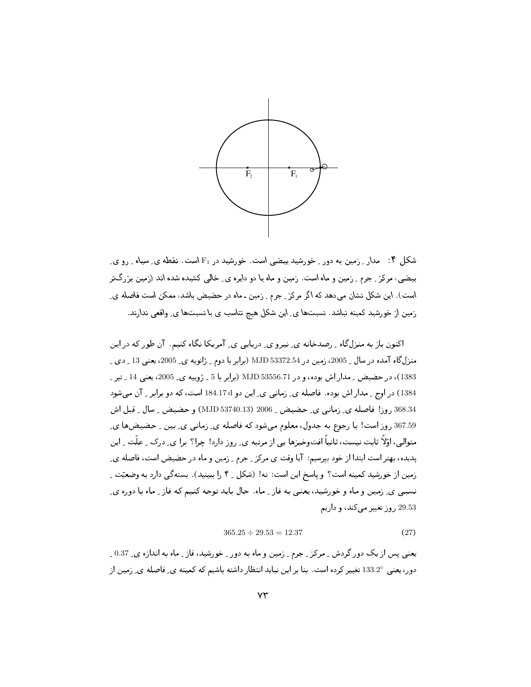

شکل ۴: مدار ِ زمین به دور ِ خورشید بیضی است. خورشید در F1 است. نقطه ی ِ سیاه ِ رو ی بیضی، مرکز ِ جرم ِ زمین و ماه است. زمین و ماه با دو دایره ی ِ خالبی کشیده شده اند (زمین بزرگتر است). این شکل نشان میدهد که اگر مرکز ـِ جرم ـ ِ زمین ـ ماه در حضیض باشد، ممکن است فاصله ی ِ زمین از خورشید کمینه نباشد. نسبتها ی ِ این شکل هیچ تناسب ی با نسبتها ی ِ واقعی ندارند.

اکنون باز به منزلگاه ِ رصدخانه ی ِ نیرو ی ِ دریایی ی ِ آمریکا نگاه کنیم. آن طور که در این منزلگاه آمده در سال <sub>-</sub> 2005، زمین در 53372.54 MJD (برابر با دوم <sub>-</sub> ژانویه ی ـ 2005، یعنی 13 <sub>-</sub> دی <sub>-</sub> 1383)، در حضیض ِ مدار اش بوده، و در MJD 53556.71 (برابر با 5 \_ ژوپیه ی\_ 2005، یعنی 14 \_ تیر ِ 1384) در اوج <sub>-</sub> مدار اش بوده. فاصله ي ِ زماني ي ِ اين دو 184.17d است، كه دو برابر <sub>-</sub> آن مي شود 368.34 روز! فاصله ي ِ زماني ي ِ حضيض ِ 2006 (MJD 53740.13) و حضيض ِ سال ِ قبل اش 367.59 روز است! با رجوع به جدول، معلوم می شود که فاصله ی ِ زمانی ی ِ بین ِ حضیضها ی ِ متوالی، اوّلاً ثابت نیست، ثانیاً افتوخیزها یی از مرتبه ی ِ روز دارد! چرا؟ برا ی ِ درک ِ علّت ِ این يديده، بهتر است ابتدا از خود بيرسيم: آيا وقت ي مركز \_ جرم \_ زمين و ماه در حضيض است، فاصله ي\_ زمین از خورشید کمینه است؟ و پاسخ این است: نه! (شکل \_ ۴ را ببینید). بستهگی دارد به وضعیّت \_ نسببي ي ِ زمين و ماه و خورشيد، يعني به فاز ِ ماه. حال بايد توجه كنيم كه فاز ِ ماه با دوره ي ِ 29.53 روز تغییر می کند، و داریم

$$
365.25 \div 29.53 = 12.37 \tag{27}
$$

یعنی پس از یک دور گردش \_ مرکز \_ جرم \_ زمین و ماه به دور \_ خورشید، فاز \_ ماه به اندازه ی\_ 0.37 \_ دور، يعني 133.2° تغيير كرده است. بنا بر اين نبايد انتظار داشته باشيم كه كمينه ي ِ فاصله ي ِ زمين از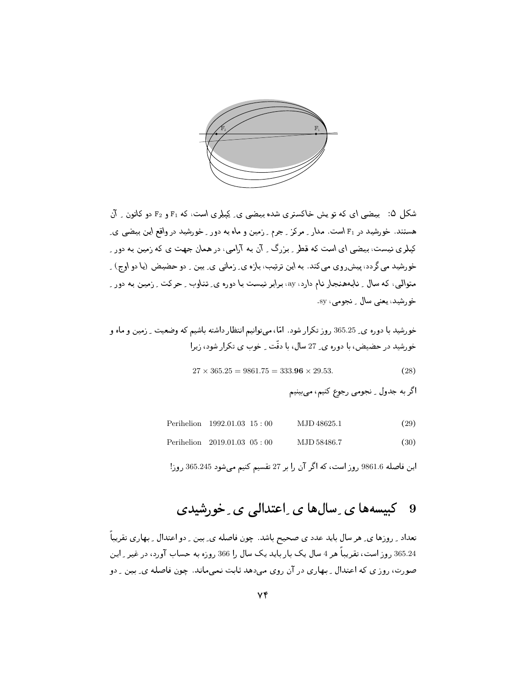

شکل ۵: پیضی ای که تو پش خاکستری شده بیضی ی ِ کِیلِری است، که F1 و F2 دو کانون ِ آن هستند. خورشید در F1 است. مدار ـ مرکز ـ جرم ـ زمین و ماه به دور ـ خورشید در واقع این بیضی ی ـ کیلر ی نیست، بیضی ای است که قطر ِ بزرگ ِ ِ آن به آرامی، در همان جهت ی که زمین به دور ِ خورشید میگردد، پیش روی میکند. به این ترتیب، بازه ی ِ زمانی ی ِ بین ِ دو حضیض (یا دو اوج) ِ متوالی، که سال ِ نابههنجار نام دارد، ay، برابر نیست با دوره ی ِ تناوب ِ حرکت ِ رمین به دور ِ خو رشيد ، يعني سال \_ نجومي ، sy.

$$
27 \times 365.25 = 9861.75 = 333.96 \times 29.53. \tag{28}
$$

اگر به جدول <sub>-</sub> نجومي رجوع کنيم، مي بينيم

| Perihelion $1992.01.03$ $15:00$ | MJD 48625.1 | (29) |
|---------------------------------|-------------|------|
|---------------------------------|-------------|------|

Perihelion 2019.01.03 05:00 MJD 58486.7  $(30)$ 

این فاصله 9861.6 روز است، که اگر آن را بر 27 تقسیم کنیم میشود 365.245 روز!

#### کیپسەھا ی ِ سال ھا ی ِ اعتدالی ی ِ خورشیدی 9

تعداد ِ روزها ي ِ هر سال بايد عدد ي صحيح باشد. چون فاصله ي ِ بين ِ دو اعتدال ِ بهاري تقريباً ِ 365.24 روز است، تقریباً هر 4 سال یک بار باید یک سال را 366 روزه به حساب آورد، در غیر ِ این صورت، روز ی که اعتدال ِ بهاری در آن روی میدهد ثابت نمیماند. چون فاصله ی ِ بین ِ دو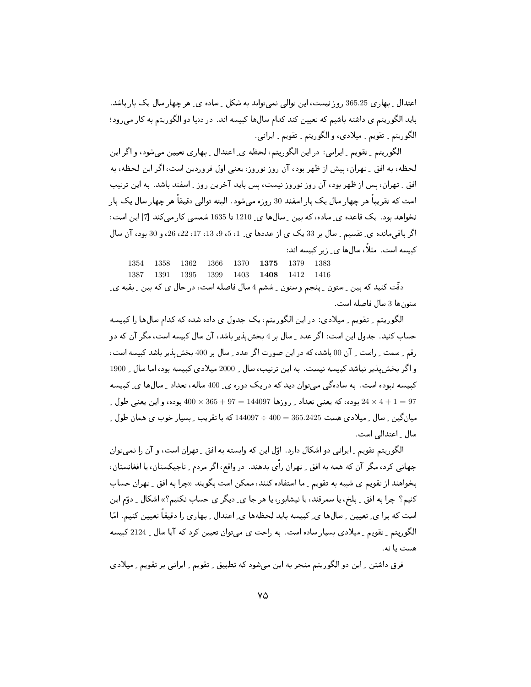اعتدال ۔ بھاری 365.25 روز نیست، این توالی نمی تواند به شکل ۔ سادہ ی۔ هر چهار سال یک بار باشد. باید الگوریتم ی داشته باشیم که تعیین کند کدام سالها کبیسه اند. در دنیا دو الگوریتم به کار می رود؛ الگوريتم ۔ تقويم ۔ ميلادي، و الگوريتم ۔ تقويم ۔ ايراني .

الگوريتم په تقويم په ايرانيي: در اين الگوريتم، لحظه ي اعتدال پههاري تعيين مي شود، و اگر اين لحظه، به افق ٍ تهران، پیش از ظهر بود، آن روز نوروز، یعنبی اول فروردین است، اگر این لحظه، به افق ِ تهران، پس از ظهر بود، آن روز نوروز نیست، پس باید آخرین روز ِ اسفند باشد. به این ترتیب است که تقریباً هر چهار سال یک بار اسفند 30 روزه می شود. البته توالی دقیقاً هر چهار سال یک بار نخواهد بود. یک قاعده ی ِ ساده، که بین ِ سالها ی ِ 1210 تا 1635 شمسی کار میکند [7] این است: اگر باقی مانده ی ِ تقسیم ِ سال بر 33 یک ی از عددها ی ِ 1، 5، 9، 13، 17، 22، 26، و 30 بود، آن سال کبیسه است. مثلاً، سالها ی ِ زیر کبیسه اند:

1379 1383 1354 1358 1362 1366 1370 1375 1416 1387 1391 1395 1399 1403 1408 1412 دقّت کنید که بین ِ ستون ِ پنجم و ستون ِ ششم 4 سال فاصله است، در حال ی که بین ِ بقیه یِ

ستون ها 3 سال فاصله است.

الگوریتم ِ تقویم ِ میلادی: در این الگوریتم، یک جدول ی داده شده که کدام سال ها را کبیسه حساب کنید. جدول این است: اگر عدد \_ سال بر 4 بخش ٍبذیر باشد، آن سال کبیسه است، مگر آن که دو رقم \_ سمت \_ راست \_ آن 00 باشد، كه در اين صورت اگر عدد \_ سال بر 400 بخش ٍبذير باشد كبيسه است، و اگر بخش پذیر نباشد کبیسه نیست. به این ترتیب، سال \_ 2000 میلادی کبیسه بود، اما سال \_ 1900 کبیسه نبوده است. به سادهگی میتوان دید که در یک دوره ی ِ 400 ساله، تعداد ِ سالها ی ِ کبیسه بوده، كه يعني تعداد \_ روزها 144097 = 365 + 36 × 400 بوده، و اين يعني طول \_  $24 \times 4 + 1 = 97$ میان گین ۔ سال ۔ میلادی هست 365.2425 = 400 ÷ 144097 که با تقریب ۔ بسیار خوب ی همان طول ۔ سال ِ اعتدالی است.

الگوریتم تقویم ِ ایرانی دو اشکال دارد. اوّل این که وابسته به افق ِ تهران است، و آن را نمیتوان جهانی کرد، مگر آن که همه به افق ِ تهران رأی بدهند. در واقع، اگر مردم ِ تاجیکستان، یا افغانستان، بخواهند از تقویم ی شبیه به تقویم <sub>بـ</sub> ما استفاده کنند، ممکن است بگویند «چرا به افق <sub>بـ</sub> تهران حساب کنیم؟ چرا به افق ِ بلخ، یا سمرقند، یا نیشابور، یا هر جا ی ِ دیگر ی حساب نکنیم؟» اشکال ِ دوّم این است که برا ی ِ تعیین ِ سالها ی ِ کبیسه باید لحظهها ی ِ اعتدال ِ بهاری را دقیقاً تعیین کنیم. امّا الگوریتم ِ تقویم ِ میلادی بسیار ساده است. به راحت ی میتوان تعیین کرد که آیا سال ِ 2124 کبیسه هست با نه.

فرق داشتن ِ این دو الگوریتم منجر به این میشود که تطبیق ِ تقویم ِ ایرانی بر تقویم ِ میلادی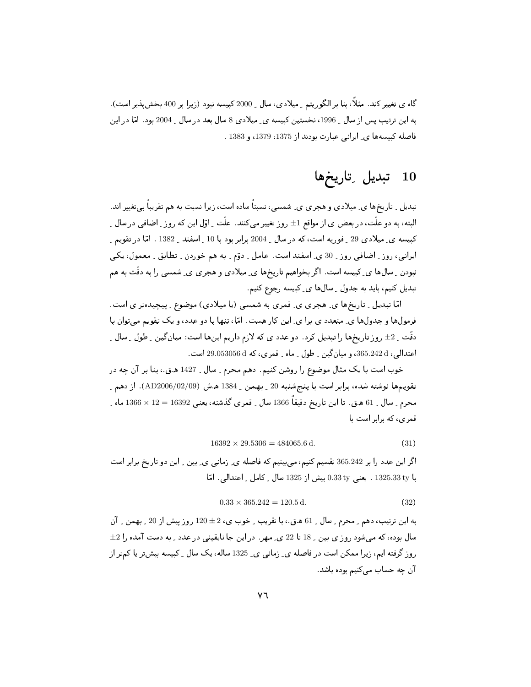گاه ی تغییر کند. مثلاً، بنا بر الگوریتم ِ میلادی، سال ِ 2000 کبیسه نبود (زیرا بر 400 بخشپذیر است). به این ترتیب پس از سال <sub>-</sub> 1996، نخستین کبیسه ی ِ میلادی 8 سال بعد در سال <sub>-</sub> 2004 بود. امّا در این فاصله كبيسهها ي ايراني عبارت بودند از 1375، 1379، و 1383 .

#### تبدیل ِ تاریخِها **10**

تبدیل ِ تاریخها ی ِ میلادی و هجری ی ِ شمسی، نسبتاً ساده است، زیرا نسبت به هم تقریباً بی تغییر اند. البته، به دو علَّت، در بعض ی از مواقع 1± , وز تغییر می¢نند. علَّت \_ اوّل این که روز \_ اضافی در سال \_ کبیسه ی ِ میلادی 29 ِ فوریه است، که در سال ِ 2004 برابر بود با 10 ِ اسفند ِ 1382 . امّا در تقویم ِ ایرانی، روز ِ اضافی روز ِ 30 ی ِ اسفند است. عامل ِ دوّم ِ به هم خوردن ِ تطابق ِ معمول، یکی نبودن ِ سال1ها ی ِ کبیسه است. اگر بخواهیم تاریخها ی ِ میلادی و هجری ی ِ شمسی را به دقّت به هم تبدیل کنیم، باید به جدول ِ سالها ی ِ کبیسه رجوع کنیم.

امّا تبدیل ِ تاریخها ی ِ هجری ی ِ قمری به شمسی (یا میلادی) موضوع ِ پیچیدهتر ی است. فرمولها و جدولها ي ِ متعدد ي برا ي ِ اين كار هست. امّا، تنها با دو عدد، و يک تقويم مىتوان با دقّت \_ 2± روز تاريخها را تبديل كرد. دو عدد ي كه لازم داريم اينها است: ميان گين \_ طول \_ سال \_ اعتدالي، 365.242d، و ميان گين \_ طول \_ ماه \_ قمري، كه 6 3053056 29.05 است.

خوب است با یک مثال موضوع را روشن کنیم. دهم محرم \_ سال \_ 1427 ه.ق.، بنا بر آن چه در .<br>تقويمها نوشته شده، برابر است با پنجشنبه 20 \_ بهمن \_ 1384 ه.ش (02/09/09/09). از دهم \_ محرم \_ سال \_ 61 ه.ق. تا اين تاريخ دقيقاً 1366 سال \_ قمرى گذشته، يعنى 16392 = 12 × 1366 ماه \_ قمری، که برابر است با

$$
16392 \times 29.5306 = 484065.6 \,\mathrm{d}.\tag{31}
$$

اگر این عدد را بر 365.242 تقسیم کنیم، میبینیم که فاصله ی ِ زمانی ی ِ بین ِ این دو تاریخ برابر است با 1325.33 ty . يعني 0.33 ty بيش از 1325 سال \_ كامل \_ اعتدالي. امّا

$$
0.33 \times 365.242 = 120.5 \,\mathrm{d}.\tag{32}
$$

به این ترتیب، دهم \_ محرم \_ سال \_ 61 ه.ق.، با تقریب \_ خوب ی، 2 ± 120 روز پیش از 20 \_ بهمن \_ آن سال بوده، که میشود روز ی بین <sub>-</sub> 18 تا 22 ی ِ مهر در این جا نایقینی در عدد <sub>-</sub> به دست آمده را 2± روز گرفته ایم، زیرا ممکن است در فاصله ی ِ زمانی ی ِ 1325 ساله، یک سال ِ کبیسه بیش تر یا کمتر از آن چه حساب می کنیم بوده باشد.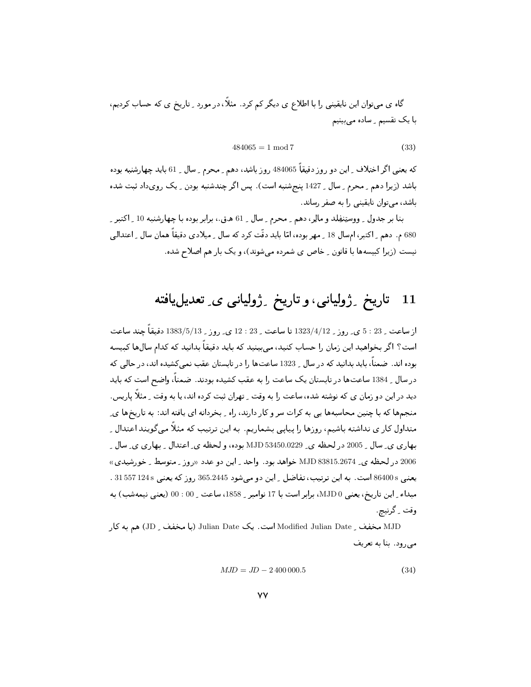گاه ی میتوان این نایقینی را با اطلاع ی دیگر کم کرد. مثلاً، در مورد ِ تاریخ ی که حساب کردیم، با یک تقسیم ِ ساده می بینیم

$$
484065 = 1 \mod 7 \tag{33}
$$

که یعنی اگر اختلاف <sub>-</sub> این دو روز دقیقاً 484065 روز باشد، دهم <sub>-</sub> محرم <sub>-</sub> سال <sub>-</sub> 61 باید چهارشنبه بوده باشد (زیرا دهم \_ محرم \_ سال \_ 1427 پنجشنبه است). پس اگر چندشنبه بودن \_ یک رویداد ثبت شده باشد، می توان نایقینی را به صفر رساند.

بنا بر جدول \_ ووستِنفِلد و مالِر، دهم \_ محرم \_ سال \_ 61 ه.ق.، برابر بوده با چهارشنبه 10 \_ اكتبر \_ 680 م. دهم ِ اکتبر، امسال 18 ِ مهر بوده، امّا باید دقّت کرد که سال ِ میلادی دقیقاً همان سال ِ اعتدالی نیست (زیرا کبیسهها با قانون <sub>-</sub> خاص ی شمرده می شوند)، و یک بار هم اصلاح شده.

#### تاریخ ۔ژولیانی، و تاریخ ۔ژولیانی ی۔ تعدیلیافته 11

از ساعت ِ 23 : 5 ي ِ روز ِ 1323/4/12 تا ساعت ِ 23 : 12 ي ِ روز ِ 1383/5/13 دقيقاً چند ساعت است؟ اگر بخواهید این زمان را حساب کنید، می،پینید که باید دقیقاً بدانید که کدام سال@ا کبیسه بوده اند. ضمناً، باید بدانید که در سال ِ 1323 ساعتها را در تابستان عقب نمی کشیده اند، در حالی که در سال ِ 1384 ساعتها در تابستان یک ساعت را به عقب کشیده بودند. ضمناً، واضح است که باید دید در این دو زمان ی که نوشته شده، ساعت را به وقت ِ تهران ثبت کرده اند، یا به وقت ِ مثلاً یاریس. منجمها که با چنین محاسبهها یی به کرات سر و کار دارند، راه -ِ بخردانه ای یافته اند: به تاریخها ی ِ متداول کار ی نداشته باشیم، روزها را پیایی بشماریم. به این ترتیب که مثلاً می گویند اعتدال ِ بهاري ي ِ سال ِ 2005 در لحظه ي 83450.0229 MJD بوده، و لحظه ي ِ اعتدال ِ بِهاري ي ِ سال ِ ِ 2006 در لحظه ي B3815.2674 وMJD خواهد بود. واحد اين دو عدد «روز - متوسط - خورشيدي» يعنيي 86400 است. به اين ترتيب، تفاضل <sub>-</sub> اين دو مي شود 365.2445 روز كه يعني 31557124 . مبداء ِ اين تاريخ، يعني MJD 0، برابر است با 17 نوامبر ِ 1858، ساعت ِ 00 : 00 (يعني نيمهشب) به وقت ِ گرنيچ

MJD مخفف \_ Modified Julian Date است. يک Julian Date (با مخفف \_ JD) هم به کار می رود. بنا به تعریف

$$
MJD = JD - 2400\,000.5\tag{34}
$$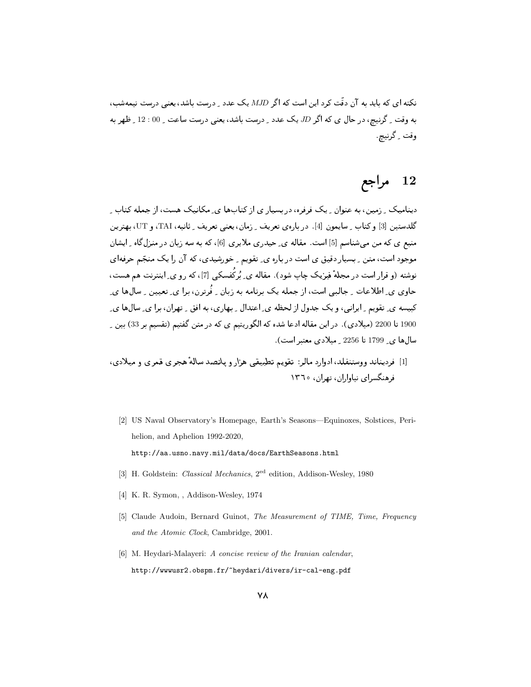.<br>نکته ای، که باید به آن دقّت کرد این است که اگر MJD یک عدد <sub>ب</sub> درست باشد، یعنی درست نیمهشب، به وقت <sub>-</sub> گرنیج، در حال ی که اگر JD یک عدد <sub>-</sub> درست باشد، یعنی درست ساعت <sub>-</sub> 00 : 12 <sub>-</sub> ظهر به وقت گرنيچ

# 12 مراجع

دینامیک <sub>- ن</sub>امین، به عنوان <sub>-</sub> یک فرفره، در بسیار ی از کتابها ی ِ مکانیک هست، از جمله کتاب ِ گلدستین [3] و کتاب ِ سایمون [4]. دربارهی تعریف ِ زمان، یعنبی تعریف ِ ثانیه، TAI، و UT، بهترین منبع ی که من می شناسم [5] است. مقاله ی حیدری ملایری [6]، که به سه زبان در منزلگاه ِ ایشان موجود است، متن ِ بِسیار دقیق ی است در باره ی ِ تقویم ِ خورشیدی، که آن را یک منجّم حرفهای نوشته (و قرا, است در مجلهٔ فیزیک چاپ شود). مقاله ی ِ بُرکُفسکی [7]، که رو ی ِ اینترنت هم هست، حاوی ی ِ اطلاعات ِ جالبے است، از جمله یک برنامه به زبان ِ فُرترن، برا ی ِ تعیین ِ سالها ی ِ کبیسه ی تقویم ِ ایرانی، و یک جدول از لحظه ی ِ اعتدال ِ بهاری، به افق ِ تهران، برا ی ِ سالها ی 1900 تا 2200 (میلادی). در این مقاله ادعا شده که الگوریتیم ی که در متن گفتیم (تقسیم بر 33) بین ِ سالها ي 1799 تا 2256 \_ ميلادي معتبر است).

- [1] فردیناند ووستنفلد، ادوارد مالر: تقویم تطبیقی هزار و پانصد سالهٔ هجری قمری و میلادی، فرهنگسرای نباواران، تهران، ۱۳۶۰
	- [2] US Naval Observatory's Homepage, Earth's Seasons—Equinoxes, Solstices, Perihelion, and Aphelion 1992-2020, http://aa.usno.navy.mil/data/docs/EarthSeasons.html
	- [3] H. Goldstein: Classical Mechanics, 2<sup>ed</sup> edition, Addison-Wesley, 1980
	- [4] K. R. Symon, , Addison-Wesley, 1974
	- [5] Claude Audoin, Bernard Guinot, The Measurement of TIME, Time, Frequency and the Atomic Clock, Cambridge, 2001.
	- [6] M. Heydari-Malayeri: A concise review of the Iranian calendar, http://www.sr2.obspm.fr/"heydari/divers/ir-cal-eng.pdf